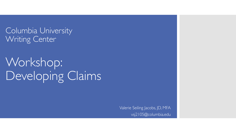Columbia University Writing Center

Workshop: Developing Claims

> Valerie Seiling Jacobs, JD, MFA vsj2105@columbia.edu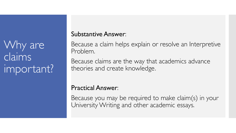Why are claims important?

## Substantive Answer:

Because a claim helps explain or resolve an Interpretive Problem.

Because claims are the way that academics advance theories and create knowledge.

## Practical Answer:

Because you may be required to make claim(s) in your University Writing and other academic essays.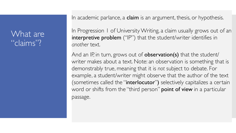## What are "claims"?

In academic parlance, a claim is an argument, thesis, or hypothesis.

In Progression 1 of University Writing, a claim usually grows out of an interpretive problem ("IP") that the student/writer identifies in *another* text.

And an IP, in turn, grows out of **observation(s)** that the student/ writer makes about a text. Note: an observation is something that is demonstrably true, meaning that it is *not* subject to debate. For example, a student/writer might observe that the author of the text (sometimes called the "interlocutor") selectively capitalizes a certain word or shifts from the "third person" point of view in a particular passage.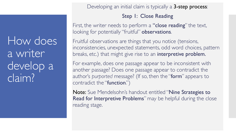How does a writer develop a claim?

Developing an initial claim is typically a 3-step process:

### Step 1: Close Reading

First, the writer needs to perform a "close reading" the text, looking for potentially "fruitful" observations.

Fruitful observations are things that you notice (tensions, inconsistencies, unexpected statements, odd word choices, pattern breaks, etc.) that might give rise to an interpretive problem.

For example, does one passage appear to be inconsistent with another passage? Does one passage appear to contradict the author's *purported* message? (If so, then the "form" appears to contradict the "function.")

Note: Sue Mendelsohn's handout entitled "Nine Strategies to Read for Interpretive Problems" may be helpful during the close reading stage.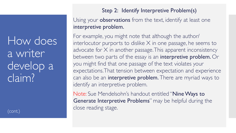How does a writer develop a claim?

(cont.)

## Step 2: Identify Interpretive Problem(s)

Using your **observations** from the text, identify at least one interpretive problem.

For example, you might note that although the author/ interlocutor purports to dislike X in one passage, he seems to advocate for  $X$  in another passage. This apparent inconsistency between two parts of the essay is an interpretive problem. Or you might find that one passage of the text violates your expectations. That tension between expectation and experience can also be an interpretive problem. There are myriad ways to identify an interpretive problem.

Note: Sue Mendelsohn's handout entitled "Nine Ways to Generate Interpretive Problems" may be helpful during the close reading stage.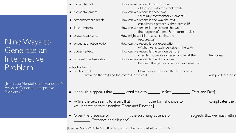|  | element/whole |
|--|---------------|
|  |               |

- element/element How can we reconcile these two
- pattern/pattern break How can we reconcile the way the text
- function/form **How can we reconcile the tensions between**
- presence/absence How might we fill the absence that the
- expectation/observation How can we reconcile our expectation
- audience/text How can we reconcile the tension bet. the
- convention/observation How can we reconcile the dissonances

#### actually observe?

• context/text executive How can we reconcile the dissonances between the text and the context in which it was produced or situation was produced or situation was produced or situation.

How can we reconcile one element

text creates?

of the text with the whole text?

seemingly contradictory elements?

establishes a pattern & then breaks it?

the purpose of a text & the form it takes?

w/what we actually perceive in the text?

between the genre convention and what we

intended audience's interest and what the text does?

- Although it appears that \_\_\_\_\_\_\_ conflicts with \_\_\_\_\_\_, in fact \_\_\_\_\_\_\_\_. [Part and Part]
- $\bullet$  While the text seems to assert that \_\_\_\_\_\_\_\_, the formal choice to \_\_\_\_\_\_\_\_\_\_\_\_\_\_ complicates the v we understand that assertion. [Form and Function]
- Given the presence of \_\_\_\_\_\_\_\_\_\_, the surprising absence of \_\_\_\_\_\_\_\_\_\_ suggests that we must rethin \_\_\_\_\_\_\_\_. [Presence and Absence]

[from *How Scholars Write*, by Aaron Ritzenberg and Sue Mendelsohn, Oxford Univ. Press 2021]

Nine Ways to Generate an Interpretive Problem

[from Sue Mendelsohn's Handout: "9 Ways to Generate Interpretive Problems"]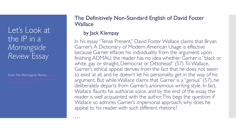Let's Look at the IP in a *Morningside Review* Essay

from *The Morningside Review:* 

### The Definitively Non-Standard English of David Foster **Wallace**

### by Jack Klempay

. . .

In his essay "Tense Present," David Foster Wallace claims that Bryan Garner's A Dictionary of Modern American Usage is effective because Garner effaces his individuality from the argument: upon finishing ADMAU, the reader has no idea whether Garner is "black or white, gay or straight, Democrat or Dittohead" (57). To Wallace, Garner's ethical appeal derives from the fact that he does not seem to exist at all, and he doesn't let his personality get in the way of his argument. But while Wallace claims that Garner is a "genius" (57), he deliberately departs from Garner's anonymous writing style. In fact, Wallace flaunts his authorial voice, and by the end of the essay the reader is well acquainted with the author. This begs the question: if Wallace so admires Garner's impersonal approach, why does he appeal to his reader with such different rhetoric?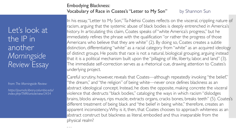## Let's look at the IP in another *Morningside Review* Essay

from *The Morningside Review:* 

*https://journals.library.columbia.edu/ index.php/TMR/article/view/3454*

#### Embodying Blackness: Vocabulary of Race in Coates's "Letter to My Son" by Shannon Sun

In his essay, "Letter to My Son," Ta-Nehisi Coates reflects on the visceral, crippling nature of racism, arguing that the systemic abuse of black bodies is deeply entrenched in America's history. In articulating this claim, Coates speaks of "white America's progress," but he immediately refines the phrase with the qualification "or rather the progress of those Americans who believe that they are white" (2). By doing so, Coates creates a subtle distinction, differentiating "white" as a racial category from "white" as an acquired ideology of distinct groups. He posits that race is not a natural, biological grouping, arguing instead that it is a political mechanism built upon the "pillaging of life, liberty, labor, and land" (3). The immediate self-correction serves as a rhetorical cue, drawing attention to Coates's underlying project.

Careful scrutiny, however, reveals that Coates—although repeatedly invoking "the belief," "the dream," and "the religion" of being white—never once defines blackness as an abstract ideological concept. Instead, he does the opposite, making concrete the visceral violence that destructs "black bodies," cataloging the ways in which racism "dislodges brains, blocks airways, rips muscle, extracts organs, cracks bones, breaks teeth" (5). Coates's different treatment of being black and "the belief in being white," therefore, creates an apparent inconsistency. Why is it, then, that Coates chooses to approach whiteness as an abstract construct but blackness as literal, embodied and thus inseparable from the physical realm?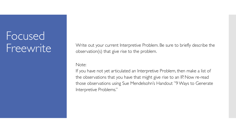# Focused Freewrite

Write out your current Interpretive Problem. Be sure to briefly describe the observation(s) that give rise to the problem.

#### Note:

If you have not yet articulated an Interpretive Problem, then make a list of the observations that you have that might give rise to an IP. Now re-read those observations using Sue Mendelsohn's Handout "9 Ways to Generate Interpretive Problems."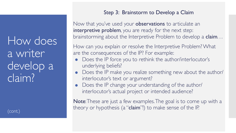How does a writer develop a claim?

(cont.)

### Step 3: Brainstorm to Develop a Claim

Now that you've used your **observations** to articulate an interpretive problem, you are ready for the next step: brainstorming about the Interpretive Problem to develop a **claim**...

How can you explain or resolve the Interpretive Problem? What are the consequences of the IP? For example:

- Does the IP force you to rethink the author/interlocutor's underlying beliefs?
- Does the IP make you realize something new about the author/ interlocutor's text or argument?
- Does the IP change your understanding of the author/ interlocutor's actual project or intended audience?

Note: These are just a few examples. The goal is to come up with a theory or hypothesis (a "claim"!) to make sense of the IP.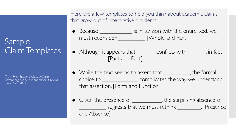## Sample Claim Templates

[from *How Scholars Write*, by Aaron Ritzenberg and Sue Mendelsohn, Oxford Univ. Press 2021]

Here are a few templates to help you think about academic claims that grow out of interpretive problems:

- Because \_\_\_\_\_\_\_\_\_\_\_\_\_\_ is in tension with the entire text, we must reconsider \_\_\_\_\_\_\_\_\_\_\_. [Whole and Part]
- Although it appears that <u>each conflicts</u> with each in fact \_\_\_\_\_\_\_\_\_. [Part and Part]
- While the text seems to assert that <u>eignenal</u>, the formal choice to \_\_\_\_\_\_\_\_\_\_\_\_ complicates the way we understand that assertion. [Form and Function]
- Given the presence of \_\_\_\_\_\_\_\_\_\_\_, the surprising absence of \_\_\_\_\_\_\_\_\_ suggests that we must rethink \_\_\_\_\_\_\_\_. [Presence and Absence]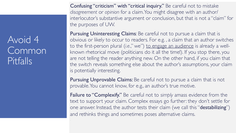## Avoid 4 Common Pitfalls

Confusing "criticism" with "critical inquiry." Be careful not to mistake *disagreement* or *opinion* for a claim. You might disagree with an author/ interlocutor's substantive argument or conclusion, but that is not a "claim" for the purposes of UW.

Pursuing Uninteresting Claims: Be careful not to pursue a claim that is obvious or likely to occur to readers. For e.g. , a claim that an author switches to the first-person plural (*i.e.*," we") to engage an audience is already a wellknown rhetorical move (politicians do it all the time!). If you stop there, you are not telling the reader anything new. On the other hand, if you claim that the switch reveals something else about the author's assumptions, your claim is potentially interesting.

Pursuing Unprovable Claims: Be careful not to pursue a claim that is not provable. You cannot know, for e.g., an author's true motive.

Failure to "Complexify." Be careful not to *simply* amass evidence from the text to support your claim. Complex essays go further: they don't settle for one answer. Instead, the author tests their claim (we call this "destabilizing") and rethinks things and sometimes poses alternative claims.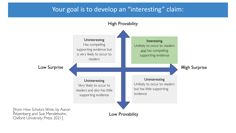## Your goal is to develop an "interesting" claim:

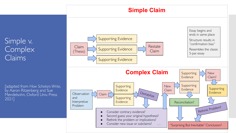## **Simple Claim**

Simple v. **Complex** Claims

[adapted from *How Scholars Write*, by Aaron Ritzenberg and Sue Mendelsohn, Oxford Univ. Press 2021]

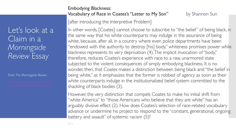Let's look at a Claim in a *Morningside Review* Essay

#### from *The Morningside Review:*

 $\alpha$  .  $\alpha$ 

#### Embodying Blackness: Vocabulary of Race in Coates's "Letter to My Son" by Shannon Sun

[after introducing the Interpretive Problem]

In other words, [Coates] cannot choose to subscribe to "the belief" of being black, in the same way that his white counterparts may indulge in the assurance of being white, because, after all, in a country where even police departments have been "endowed with the authority to destroy [his] body," whiteness promises power while blackness represents its very deprivation (4). The implicit invocation of "body," therefore, reduces Coates's experience with race to a raw, unarmored state subjected to the violent consequences of simply embodying blackness. It is no wonder, then, that Coates makes a distinction between being black and "the belief in being white," as it emphasizes that the former is robbed of agency as soon as their white counterparts indulge in the institutionalized belief system committed to the shackling of black bodies (3).

However, the very distinction that compels Coates to make his initial shift from "white America" to "those Americans who believe that they are white" has an arguably divisive effect (2). How does Coates's selection of race-related vocabulary advance or undermine his project to respond to the "constant, generational, ongoing battery and assault" of systemic racism (5)?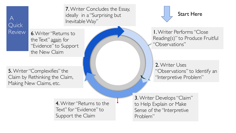

7. Writer Concludes the Essay, ideally in a "Surprising but Inevitable Way"

6. Writer "Returns to the Text" again for "Evidence" to Support the New Claim

**5.** Writer "Complexifies" the Claim by Rethinking the Claim, Making New Claims, etc.

> 4. Writer "Returns to the Text" for "Evidence" to Support the Claim



1. Writer Performs "Close Reading(s)" to Produce Fruitful "Observations"

2. Writer Uses "Observations" to Identify an "Interpretive Problem"

3. Writer Develops "Claim" to Help Explain or Make Sense of the "Interpretive Problem"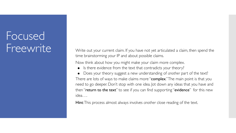# Focused Freewrite

Write out your current claim. If you have not yet articulated a claim, then spend the time brainstorming your IP and about possible claims.

Now think about how you might make your claim more complex.

Is there evidence from the text that contradicts your theory?

Does your theory suggest a new understanding of *another* part of the text? There are lots of ways to make claims more "complex." The main point is that you need to go deeper. Don't stop with one idea. Jot down any ideas that you have and then "return to the text" to see if you can find supporting "evidence" for this new idea….

Hint: This process almost always involves *another* close reading of the text.